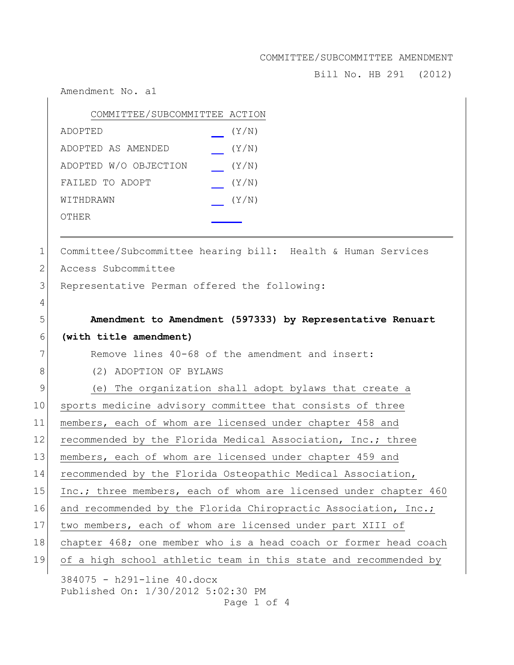Bill No. HB 291 (2012)

Amendment No. a1

| COMMITTEE/SUBCOMMITTEE ACTION |       |
|-------------------------------|-------|
| ADOPTED                       | (Y/N) |
| ADOPTED AS AMENDED            | (Y/N) |
| ADOPTED W/O OBJECTION         | (Y/N) |
| FAILED TO ADOPT               | (Y/N) |
| WITHDRAWN                     | (Y/N) |
| OTHER                         |       |

1 Committee/Subcommittee hearing bill: Health & Human Services

2 Access Subcommittee

4

3 Representative Perman offered the following:

5 **Amendment to Amendment (597333) by Representative Renuart** 6 **(with title amendment)**

7 Remove lines 40-68 of the amendment and insert:

8 (2) ADOPTION OF BYLAWS

384075 - h291-line 40.docx 9 (e) The organization shall adopt bylaws that create a 10 sports medicine advisory committee that consists of three 11 members, each of whom are licensed under chapter 458 and 12 recommended by the Florida Medical Association, Inc.; three 13 members, each of whom are licensed under chapter 459 and 14 recommended by the Florida Osteopathic Medical Association, 15 Inc.; three members, each of whom are licensed under chapter 460 16 and recommended by the Florida Chiropractic Association, Inc.; 17 two members, each of whom are licensed under part XIII of 18 chapter 468; one member who is a head coach or former head coach 19 of a high school athletic team in this state and recommended by

Published On: 1/30/2012 5:02:30 PM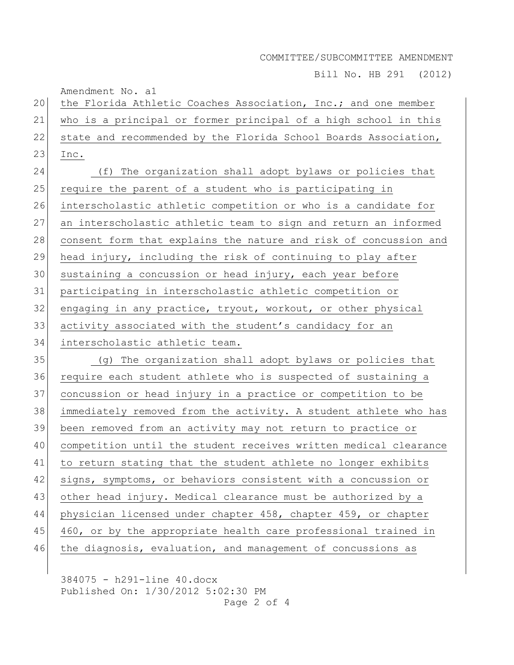Bill No. HB 291 (2012)

Amendment No. a1 20 the Florida Athletic Coaches Association, Inc.; and one member 21 who is a principal or former principal of a high school in this 22 state and recommended by the Florida School Boards Association,  $23$  Inc. 24 (f) The organization shall adopt bylaws or policies that 25 require the parent of a student who is participating in 26 interscholastic athletic competition or who is a candidate for 27 an interscholastic athletic team to sign and return an informed 28 consent form that explains the nature and risk of concussion and 29 head injury, including the risk of continuing to play after 30 sustaining a concussion or head injury, each year before 31 participating in interscholastic athletic competition or 32 engaging in any practice, tryout, workout, or other physical 33 activity associated with the student's candidacy for an 34 interscholastic athletic team. 35 (g) The organization shall adopt bylaws or policies that 36 require each student athlete who is suspected of sustaining a 37 concussion or head injury in a practice or competition to be 38 immediately removed from the activity. A student athlete who has 39 been removed from an activity may not return to practice or 40 competition until the student receives written medical clearance 41 to return stating that the student athlete no longer exhibits 42 signs, symptoms, or behaviors consistent with a concussion or 43 other head injury. Medical clearance must be authorized by a 44 physician licensed under chapter 458, chapter 459, or chapter 45 460, or by the appropriate health care professional trained in 46 the diagnosis, evaluation, and management of concussions as

384075 - h291-line 40.docx Published On: 1/30/2012 5:02:30 PM Page 2 of 4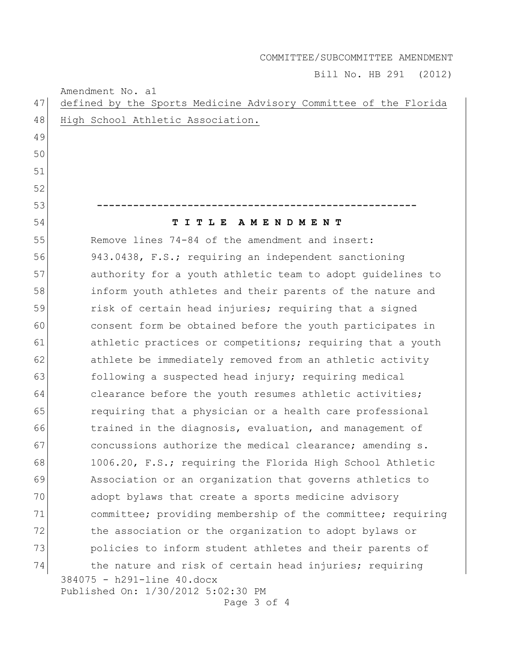Bill No. HB 291 (2012)

| 47 | Amendment No. al<br>defined by the Sports Medicine Advisory Committee of the Florida |
|----|--------------------------------------------------------------------------------------|
| 48 | High School Athletic Association.                                                    |
| 49 |                                                                                      |
| 50 |                                                                                      |
| 51 |                                                                                      |
| 52 |                                                                                      |
| 53 |                                                                                      |
| 54 | TITLE AMENDMENT                                                                      |
| 55 | Remove lines 74-84 of the amendment and insert:                                      |
| 56 | 943.0438, F.S.; requiring an independent sanctioning                                 |
| 57 | authority for a youth athletic team to adopt guidelines to                           |
| 58 | inform youth athletes and their parents of the nature and                            |
| 59 | risk of certain head injuries; requiring that a signed                               |
| 60 | consent form be obtained before the youth participates in                            |
| 61 | athletic practices or competitions; requiring that a youth                           |
| 62 | athlete be immediately removed from an athletic activity                             |
| 63 | following a suspected head injury; requiring medical                                 |
| 64 | clearance before the youth resumes athletic activities;                              |
| 65 | requiring that a physician or a health care professional                             |
| 66 | trained in the diagnosis, evaluation, and management of                              |
| 67 | concussions authorize the medical clearance; amending s.                             |
| 68 | 1006.20, F.S.; requiring the Florida High School Athletic                            |
| 69 | Association or an organization that governs athletics to                             |
| 70 | adopt bylaws that create a sports medicine advisory                                  |
| 71 | committee; providing membership of the committee; requiring                          |
| 72 | the association or the organization to adopt bylaws or                               |
| 73 | policies to inform student athletes and their parents of                             |
| 74 | the nature and risk of certain head injuries; requiring                              |
|    | 384075 - h291-line 40.docx<br>Published On: 1/30/2012 5:02:30 PM                     |

Page 3 of 4